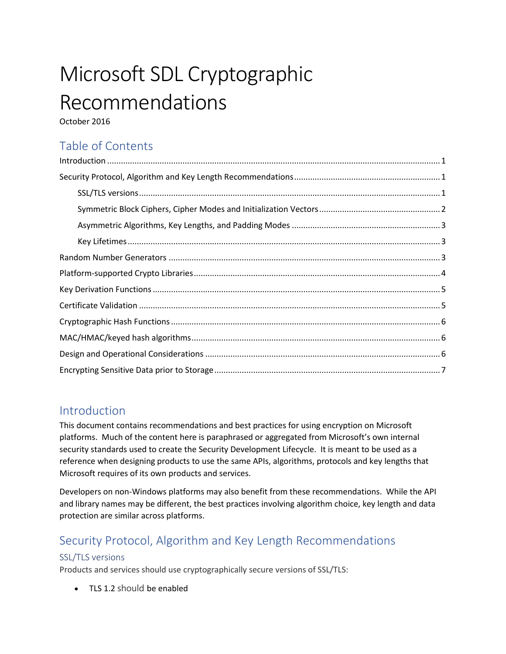# Microsoft SDL Cryptographic Recommendations

October 2016

# Table of Contents

### <span id="page-0-0"></span>Introduction

This document contains recommendations and best practices for using encryption on Microsoft platforms. Much of the content here is paraphrased or aggregated from Microsoft's own internal security standards used to create the Security Development Lifecycle. It is meant to be used as a reference when designing products to use the same APIs, algorithms, protocols and key lengths that Microsoft requires of its own products and services.

Developers on non-Windows platforms may also benefit from these recommendations. While the API and library names may be different, the best practices involving algorithm choice, key length and data protection are similar across platforms.

# <span id="page-0-1"></span>Security Protocol, Algorithm and Key Length Recommendations

### <span id="page-0-2"></span>SSL/TLS versions

Products and services should use cryptographically secure versions of SSL/TLS:

• TLS 1.2 should be enabled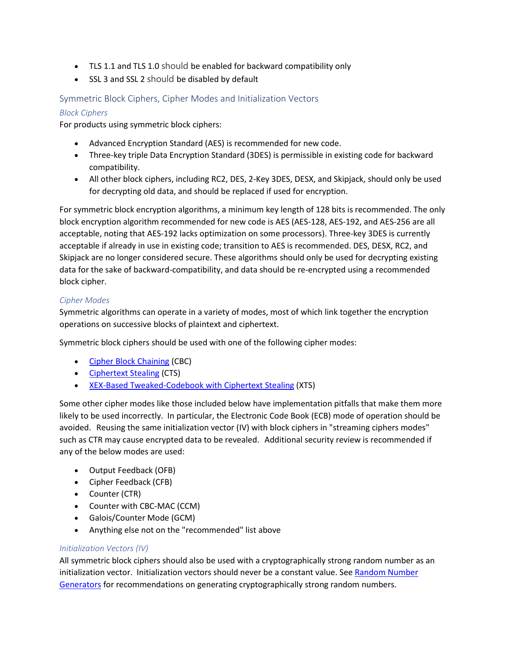- TLS 1.1 and TLS 1.0 should be enabled for backward compatibility only
- SSL 3 and SSL 2 should be disabled by default

### <span id="page-1-0"></span>Symmetric Block Ciphers, Cipher Modes and Initialization Vectors

### *Block Ciphers*

For products using symmetric block ciphers:

- Advanced Encryption Standard (AES) is recommended for new code.
- Three-key triple Data Encryption Standard (3DES) is permissible in existing code for backward compatibility.
- All other block ciphers, including RC2, DES, 2-Key 3DES, DESX, and Skipjack, should only be used for decrypting old data, and should be replaced if used for encryption.

For symmetric block encryption algorithms, a minimum key length of 128 bits is recommended. The only block encryption algorithm recommended for new code is AES (AES-128, AES-192, and AES-256 are all acceptable, noting that AES-192 lacks optimization on some processors). Three-key 3DES is currently acceptable if already in use in existing code; transition to AES is recommended. DES, DESX, RC2, and Skipjack are no longer considered secure. These algorithms should only be used for decrypting existing data for the sake of backward-compatibility, and data should be re-encrypted using a recommended block cipher.

### *Cipher Modes*

Symmetric algorithms can operate in a variety of modes, most of which link together the encryption operations on successive blocks of plaintext and ciphertext.

Symmetric block ciphers should be used with one of the following cipher modes:

- [Cipher Block Chaining](https://en.wikipedia.org/wiki/Block_cipher_mode_of_operation) (CBC)
- [Ciphertext Stealing](https://en.wikipedia.org/wiki/Ciphertext_stealing) (CTS)
- [XEX-Based Tweaked-Codebook with Ciphertext Stealing](https://en.wikipedia.org/wiki/Disk_encryption_theory#XEX-based_tweaked-codebook_mode_with_ciphertext_stealing_.28XTS.29) (XTS)

Some other cipher modes like those included below have implementation pitfalls that make them more likely to be used incorrectly. In particular, the Electronic Code Book (ECB) mode of operation should be avoided. Reusing the same initialization vector (IV) with block ciphers in "streaming ciphers modes" such as CTR may cause encrypted data to be revealed. Additional security review is recommended if any of the below modes are used:

- Output Feedback (OFB)
- Cipher Feedback (CFB)
- Counter (CTR)
- Counter with CBC-MAC (CCM)
- Galois/Counter Mode (GCM)
- Anything else not on the "recommended" list above

### *Initialization Vectors (IV)*

All symmetric block ciphers should also be used with a cryptographically strong random number as an initialization vector. Initialization vectors should never be a constant value. See Random Number [Generators](#page-1-0) for recommendations on generating cryptographically strong random numbers.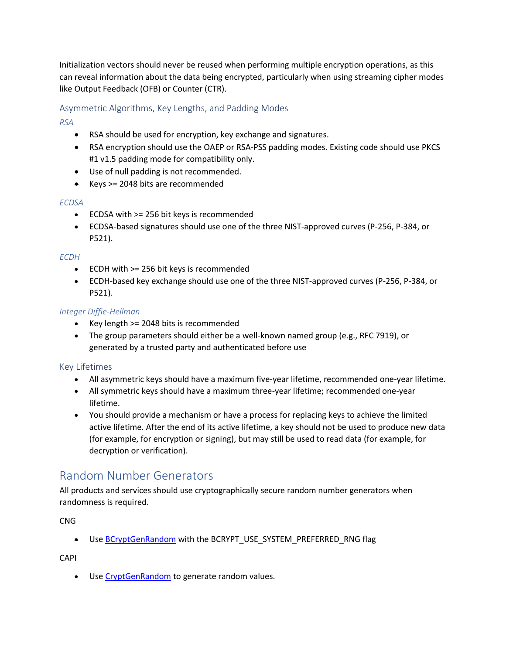Initialization vectors should never be reused when performing multiple encryption operations, as this can reveal information about the data being encrypted, particularly when using streaming cipher modes like Output Feedback (OFB) or Counter (CTR).

### <span id="page-2-0"></span>Asymmetric Algorithms, Key Lengths, and Padding Modes

*RSA*

- RSA should be used for encryption, key exchange and signatures.
- RSA encryption should use the OAEP or RSA-PSS padding modes. Existing code should use PKCS #1 v1.5 padding mode for compatibility only.
- Use of null padding is not recommended.
- $\bullet$  Keys >= 2048 bits are recommended

### *ECDSA*

- ECDSA with >= 256 bit keys is recommended
- ECDSA-based signatures should use one of the three NIST-approved curves (P-256, P-384, or P521).

### *ECDH*

- ECDH with >= 256 bit keys is recommended
- ECDH-based key exchange should use one of the three NIST-approved curves (P-256, P-384, or P521).

### *Integer Diffie-Hellman*

- Key length >= 2048 bits is recommended
- <span id="page-2-1"></span> The group parameters should either be a well-known named group (e.g., RFC 7919), or generated by a trusted party and authenticated before use

### Key Lifetimes

- All asymmetric keys should have a maximum five-year lifetime, recommended one-year lifetime.
- All symmetric keys should have a maximum three-year lifetime; recommended one-year lifetime.
- You should provide a mechanism or have a process for replacing keys to achieve the limited active lifetime. After the end of its active lifetime, a key should not be used to produce new data (for example, for encryption or signing), but may still be used to read data (for example, for decryption or verification).

### <span id="page-2-2"></span>Random Number Generators

All products and services should use cryptographically secure random number generators when randomness is required.

CNG

● Use [BCryptGenRandom](https://msdn.microsoft.com/en-us/library/windows/desktop/aa375458.aspx) with the BCRYPT\_USE\_SYSTEM\_PREFERRED\_RNG flag

CAPI

Use [CryptGenRandom](https://msdn.microsoft.com/en-us/library/windows/desktop/aa379942.aspx) to generate random values.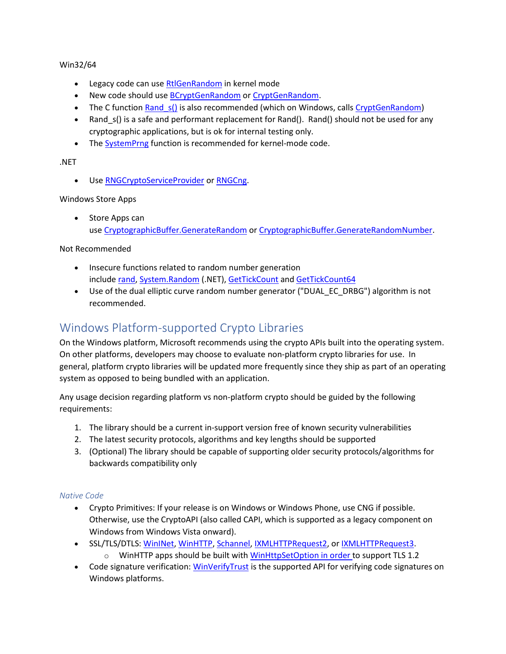### Win32/64

- **•** Legacy code can use [RtlGenRandom](https://msdn.microsoft.com/en-us/library/windows/desktop/aa387694.aspx) in kernel mode
- New code should use **[BCryptGenRandom](https://msdn.microsoft.com/en-us/library/windows/desktop/aa375458.aspx)** or [CryptGenRandom.](https://msdn.microsoft.com/en-us/library/windows/desktop/aa379942.aspx)
- The C function Rand s() is also recommended (which on Windows, calls [CryptGenRandom\)](https://msdn.microsoft.com/en-us/library/windows/desktop/aa379942.aspx)
- Rand  $s$ () is a safe and performant replacement for Rand(). Rand() should not be used for any cryptographic applications, but is ok for internal testing only.
- The [SystemPrng](https://msdn.microsoft.com/en-us/library/windows/desktop/dd408060.aspx) function is recommended for kernel-mode code.

### .NET

Use [RNGCryptoServiceProvider](https://msdn.microsoft.com/en-us/library/system.security.cryptography.rngcryptoserviceprovider.aspx) or [RNGCng.](https://clrsecurity.codeplex.com/wikipage?title=Security.Cryptography.RNGCng&referringTitle=Security.Cryptography.dll)

### Windows Store Apps

• Store Apps can use [CryptographicBuffer.GenerateRandom](https://msdn.microsoft.com/en-us/library/windows/apps/windows.security.cryptography.cryptographicbuffer.generaterandom.aspx) or [CryptographicBuffer.GenerateRandomNumber](https://msdn.microsoft.com/en-us/library/windows/apps/windows.security.cryptography.cryptographicbuffer.generaterandomnumber.aspx).

### Not Recommended

- Insecure functions related to random number generation include [rand,](https://msdn.microsoft.com/en-us/library/398ax69y.aspx) [System.Random](https://msdn.microsoft.com/en-us/library/system.random.aspx) (.NET), [GetTickCount](https://msdn.microsoft.com/en-us/library/windows/desktop/ms724408.aspx) and [GetTickCount64](https://msdn.microsoft.com/en-us/library/windows/desktop/ms724411.aspx)
- Use of the dual elliptic curve random number generator ("DUAL\_EC\_DRBG") algorithm is not recommended.

### <span id="page-3-0"></span>Windows Platform-supported Crypto Libraries

On the Windows platform, Microsoft recommends using the crypto APIs built into the operating system. On other platforms, developers may choose to evaluate non-platform crypto libraries for use. In general, platform crypto libraries will be updated more frequently since they ship as part of an operating system as opposed to being bundled with an application.

Any usage decision regarding platform vs non-platform crypto should be guided by the following requirements:

- 1. The library should be a current in-support version free of known security vulnerabilities
- 2. The latest security protocols, algorithms and key lengths should be supported
- 3. (Optional) The library should be capable of supporting older security protocols/algorithms for backwards compatibility only

### *Native Code*

- Crypto Primitives: If your release is on Windows or Windows Phone, use CNG if possible. Otherwise, use the CryptoAPI (also called CAPI, which is supported as a legacy component on Windows from Windows Vista onward).
- **SSL/TLS/DTLS: [WinINet,](https://msdn.microsoft.com/en-us/library/windows/desktop/aa385331(v=vs.85).aspx) [WinHTTP,](https://msdn.microsoft.com/en-us/library/aa382925(v=VS.85).aspx) [Schannel,](https://msdn.microsoft.com/en-us/library/windows/desktop/ms678421(v=vs.85).aspx) [IXMLHTTPRequest2,](https://msdn.microsoft.com/en-us/library/windows/desktop/hh831151.aspx) or [IXMLHTTPRequest3.](https://msdn.microsoft.com/en-us/library/windows/desktop/dn376398.aspx)**  $\circ$  WinHTTP apps should be built with [WinHttpSetOption](https://msdn.microsoft.com/en-us/library/windows/desktop/aa384114(v=vs.85).aspx) in order to support TLS 1.2
- Code signature verification: [WinVerifyTrust](https://msdn.microsoft.com/en-us/library/aa388208(v=VS.85).aspx) is the supported API for verifying code signatures on Windows platforms.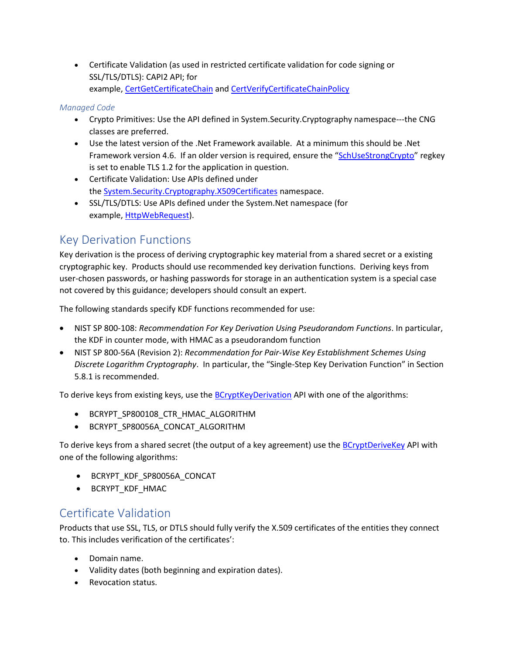Certificate Validation (as used in restricted certificate validation for code signing or SSL/TLS/DTLS): CAPI2 API; for example, [CertGetCertificateChain](https://msdn.microsoft.com/en-us/library/windows/desktop/aa376078(v=vs.85).aspx) and [CertVerifyCertificateChainPolicy](https://msdn.microsoft.com/en-us/library/windows/desktop/aa377163(v=vs.85).aspx)

### *Managed Code*

- Crypto Primitives: Use the API defined in System.Security.Cryptography namespace---the CNG classes are preferred.
- Use the latest version of the .Net Framework available. At a minimum this should be .Net Framework version 4.6. If an older version is required, ensure the "[SchUseStrongCrypto](https://technet.microsoft.com/en-us/library/security/2960358.aspx#ID0ETHAE)" regkey is set to enable TLS 1.2 for the application in question.
- Certificate Validation: Use APIs defined under the [System.Security.Cryptography.X509Certificates](https://msdn.microsoft.com/en-us/library/system.security.cryptography.x509certificates.aspx) namespace.
- SSL/TLS/DTLS: Use APIs defined under the System.Net namespace (for example, [HttpWebRequest\)](https://msdn.microsoft.com/en-us/library/system.net.httpwebrequest.aspx).

### <span id="page-4-0"></span>Key Derivation Functions

Key derivation is the process of deriving cryptographic key material from a shared secret or a existing cryptographic key. Products should use recommended key derivation functions. Deriving keys from user-chosen passwords, or hashing passwords for storage in an authentication system is a special case not covered by this guidance; developers should consult an expert.

The following standards specify KDF functions recommended for use:

- NIST SP 800-108: *Recommendation For Key Derivation Using Pseudorandom Functions*. In particular, the KDF in counter mode, with HMAC as a pseudorandom function
- NIST SP 800-56A (Revision 2): *Recommendation for Pair-Wise Key Establishment Schemes Using Discrete Logarithm Cryptography*. In particular, the "Single-Step Key Derivation Function" in Section 5.8.1 is recommended.

To derive keys from existing keys, use the **[BCryptKeyDerivation](https://msdn.microsoft.com/en-us/library/windows/desktop/hh448506(v=vs.85).aspx)** API with one of the algorithms:

- **BCRYPT SP800108 CTR HMAC ALGORITHM**
- BCRYPT\_SP80056A\_CONCAT\_ALGORITHM

To derive keys from a shared secret (the output of a key agreement) use th[e BCryptDeriveKey](https://msdn.microsoft.com/en-us/library/windows/desktop/aa375393(v=vs.85).aspx) API with one of the following algorithms:

- BCRYPT\_KDF\_SP80056A\_CONCAT
- BCRYPT\_KDF\_HMAC

### <span id="page-4-1"></span>Certificate Validation

Products that use SSL, TLS, or DTLS should fully verify the X.509 certificates of the entities they connect to. This includes verification of the certificates':

- Domain name.
- Validity dates (both beginning and expiration dates).
- Revocation status.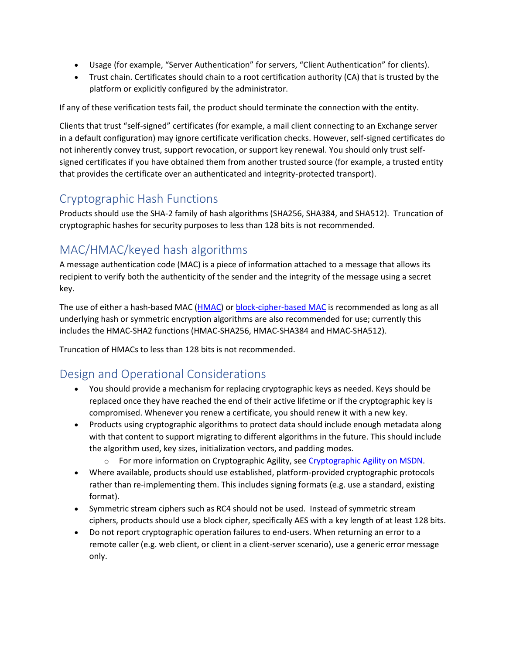- Usage (for example, "Server Authentication" for servers, "Client Authentication" for clients).
- Trust chain. Certificates should chain to a root certification authority (CA) that is trusted by the platform or explicitly configured by the administrator.

If any of these verification tests fail, the product should terminate the connection with the entity.

Clients that trust "self-signed" certificates (for example, a mail client connecting to an Exchange server in a default configuration) may ignore certificate verification checks. However, self-signed certificates do not inherently convey trust, support revocation, or support key renewal. You should only trust selfsigned certificates if you have obtained them from another trusted source (for example, a trusted entity that provides the certificate over an authenticated and integrity-protected transport).

## <span id="page-5-0"></span>Cryptographic Hash Functions

Products should use the SHA-2 family of hash algorithms (SHA256, SHA384, and SHA512). Truncation of cryptographic hashes for security purposes to less than 128 bits is not recommended.

# <span id="page-5-1"></span>MAC/HMAC/keyed hash algorithms

A message authentication code (MAC) is a piece of information attached to a message that allows its recipient to verify both the authenticity of the sender and the integrity of the message using a secret key.

The use of either a hash-based MAC [\(HMAC\)](http://csrc.nist.gov/publications/nistpubs/800-107-rev1/sp800-107-rev1.pdf) or [block-cipher-based MAC](http://csrc.nist.gov/publications/nistpubs/800-38B/SP_800-38B.pdf) is recommended as long as all underlying hash or symmetric encryption algorithms are also recommended for use; currently this includes the HMAC-SHA2 functions (HMAC-SHA256, HMAC-SHA384 and HMAC-SHA512).

Truncation of HMACs to less than 128 bits is not recommended.

# <span id="page-5-2"></span>Design and Operational Considerations

- You should provide a mechanism for replacing cryptographic keys as needed. Keys should be replaced once they have reached the end of their active lifetime or if the cryptographic key is compromised. Whenever you renew a certificate, you should renew it with a new key.
- Products using cryptographic algorithms to protect data should include enough metadata along with that content to support migrating to different algorithms in the future. This should include the algorithm used, key sizes, initialization vectors, and padding modes.
	- o For more information on Cryptographic Agility, se[e Cryptographic Agility on MSDN.](https://msdn.microsoft.com/en-us/magazine/ee321570.aspx)
- Where available, products should use established, platform-provided cryptographic protocols rather than re-implementing them. This includes signing formats (e.g. use a standard, existing format).
- Symmetric stream ciphers such as RC4 should not be used. Instead of symmetric stream ciphers, products should use a block cipher, specifically AES with a key length of at least 128 bits.
- Do not report cryptographic operation failures to end-users. When returning an error to a remote caller (e.g. web client, or client in a client-server scenario), use a generic error message only.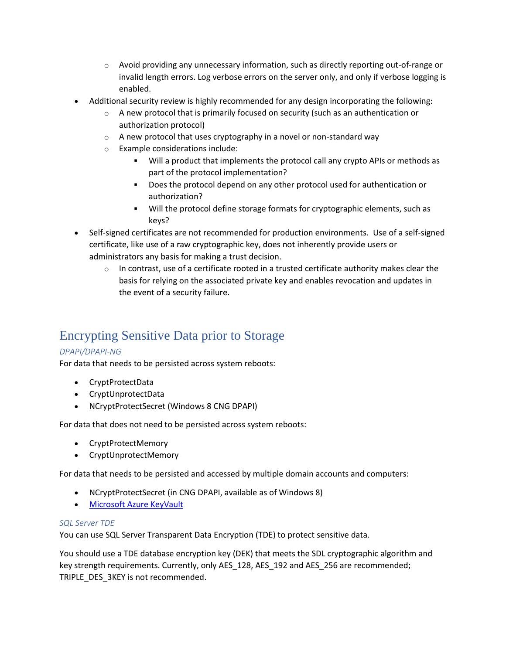- $\circ$  Avoid providing any unnecessary information, such as directly reporting out-of-range or invalid length errors. Log verbose errors on the server only, and only if verbose logging is enabled.
- Additional security review is highly recommended for any design incorporating the following:
	- A new protocol that is primarily focused on security (such as an authentication or authorization protocol)
	- $\circ$  A new protocol that uses cryptography in a novel or non-standard way
	- o Example considerations include:
		- Will a product that implements the protocol call any crypto APIs or methods as part of the protocol implementation?
		- Does the protocol depend on any other protocol used for authentication or authorization?
		- Will the protocol define storage formats for cryptographic elements, such as keys?
- Self-signed certificates are not recommended for production environments. Use of a self-signed certificate, like use of a raw cryptographic key, does not inherently provide users or administrators any basis for making a trust decision.
	- $\circ$  In contrast, use of a certificate rooted in a trusted certificate authority makes clear the basis for relying on the associated private key and enables revocation and updates in the event of a security failure.

# <span id="page-6-0"></span>Encrypting Sensitive Data prior to Storage

### *DPAPI/DPAPI-NG*

For data that needs to be persisted across system reboots:

- CryptProtectData
- CryptUnprotectData
- NCryptProtectSecret (Windows 8 CNG DPAPI)

For data that does not need to be persisted across system reboots:

- CryptProtectMemory
- CryptUnprotectMemory

For data that needs to be persisted and accessed by multiple domain accounts and computers:

- NCryptProtectSecret (in CNG DPAPI, available as of Windows 8)
- [Microsoft Azure KeyVault](https://azure.microsoft.com/en-us/services/key-vault/)

### *SQL Server TDE*

You can use SQL Server Transparent Data Encryption (TDE) to protect sensitive data.

You should use a TDE database encryption key (DEK) that meets the SDL cryptographic algorithm and key strength requirements. Currently, only AES\_128, AES\_192 and AES\_256 are recommended; TRIPLE\_DES\_3KEY is not recommended.